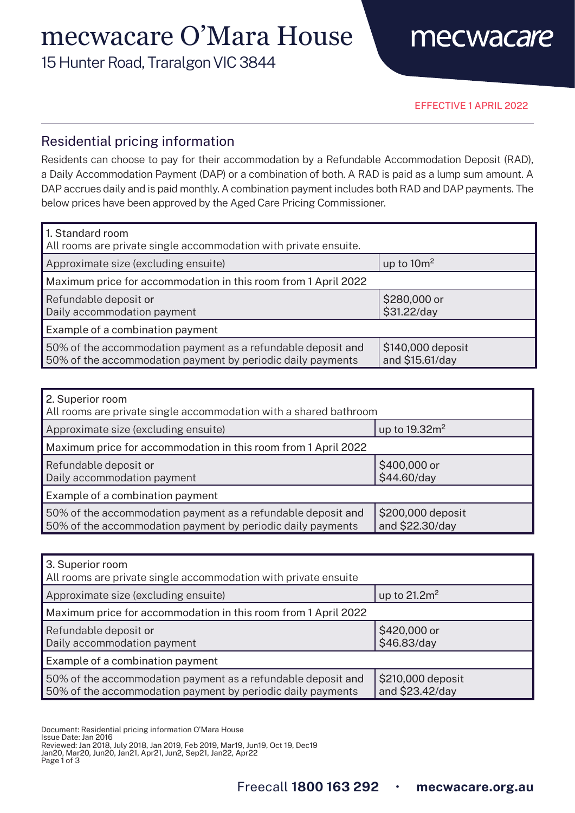# mecwacare O'Mara House

15 Hunter Road, Traralgon VIC 3844



EFFECTIVE 1 APRIL 2022

#### Residential pricing information

Residents can choose to pay for their accommodation by a Refundable Accommodation Deposit (RAD), a Daily Accommodation Payment (DAP) or a combination of both. A RAD is paid as a lump sum amount. A DAP accrues daily and is paid monthly. A combination payment includes both RAD and DAP payments. The below prices have been approved by the Aged Care Pricing Commissioner.

| 1. Standard room<br>All rooms are private single accommodation with private ensuite.                                        |                                      |  |
|-----------------------------------------------------------------------------------------------------------------------------|--------------------------------------|--|
| Approximate size (excluding ensuite)                                                                                        | up to $10m^2$                        |  |
| Maximum price for accommodation in this room from 1 April 2022                                                              |                                      |  |
| Refundable deposit or<br>Daily accommodation payment                                                                        | \$280,000 or<br>\$31.22/day          |  |
| Example of a combination payment                                                                                            |                                      |  |
| 50% of the accommodation payment as a refundable deposit and<br>50% of the accommodation payment by periodic daily payments | \$140,000 deposit<br>and \$15.61/day |  |

| 2. Superior room<br>All rooms are private single accommodation with a shared bathroom                                       |                                      |  |
|-----------------------------------------------------------------------------------------------------------------------------|--------------------------------------|--|
| Approximate size (excluding ensuite)                                                                                        | up to $19.32m2$                      |  |
| Maximum price for accommodation in this room from 1 April 2022                                                              |                                      |  |
| Refundable deposit or<br>Daily accommodation payment                                                                        | \$400,000 or<br>\$44.60/day          |  |
| Example of a combination payment                                                                                            |                                      |  |
| 50% of the accommodation payment as a refundable deposit and<br>50% of the accommodation payment by periodic daily payments | \$200,000 deposit<br>and \$22.30/day |  |

| 3. Superior room<br>All rooms are private single accommodation with private ensuite                                         |                                      |  |
|-----------------------------------------------------------------------------------------------------------------------------|--------------------------------------|--|
| Approximate size (excluding ensuite)                                                                                        | up to $21.2m^2$                      |  |
| Maximum price for accommodation in this room from 1 April 2022                                                              |                                      |  |
| Refundable deposit or<br>Daily accommodation payment                                                                        | \$420,000 or<br>\$46.83/day          |  |
| Example of a combination payment                                                                                            |                                      |  |
| 50% of the accommodation payment as a refundable deposit and<br>50% of the accommodation payment by periodic daily payments | \$210,000 deposit<br>and \$23.42/day |  |

Document: Residential pricing information O'Mara House

- Issue Date: Jan 2016
- Reviewed: Jan 2018, July 2018, Jan 2019, Feb 2019, Mar19, Jun19, Oct 19, Dec19

Jan20, Mar20, Jun20, Jan21, Apr21, Jun2, Sep21, Jan22, Apr22

Page 1 of 3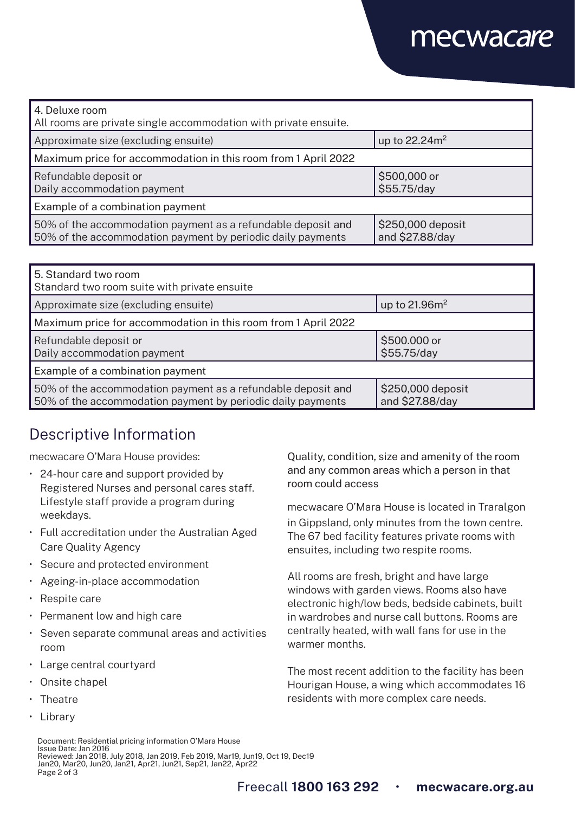## mecwacare

| 4. Deluxe room<br>All rooms are private single accommodation with private ensuite.                                          |                                      |  |
|-----------------------------------------------------------------------------------------------------------------------------|--------------------------------------|--|
| Approximate size (excluding ensuite)                                                                                        | up to 22.24m <sup>2</sup>            |  |
| Maximum price for accommodation in this room from 1 April 2022                                                              |                                      |  |
| Refundable deposit or<br>Daily accommodation payment                                                                        | \$500,000 or<br>\$55.75/day          |  |
| Example of a combination payment                                                                                            |                                      |  |
| 50% of the accommodation payment as a refundable deposit and<br>50% of the accommodation payment by periodic daily payments | \$250,000 deposit<br>and \$27.88/day |  |

| 5. Standard two room<br>Standard two room suite with private ensuite                                                        |                                      |  |
|-----------------------------------------------------------------------------------------------------------------------------|--------------------------------------|--|
| Approximate size (excluding ensuite)                                                                                        | up to $21.96m2$                      |  |
| Maximum price for accommodation in this room from 1 April 2022                                                              |                                      |  |
| Refundable deposit or<br>Daily accommodation payment                                                                        | \$500.000 or<br>\$55.75/day          |  |
| Example of a combination payment                                                                                            |                                      |  |
| 50% of the accommodation payment as a refundable deposit and<br>50% of the accommodation payment by periodic daily payments | \$250,000 deposit<br>and \$27.88/day |  |

### Descriptive Information

mecwacare O'Mara House provides:

- 24-hour care and support provided by Registered Nurses and personal cares staff. Lifestyle staff provide a program during weekdays.
- Full accreditation under the Australian Aged Care Quality Agency
- Secure and protected environment
- Ageing-in-place accommodation
- Respite care
- Permanent low and high care
- Seven separate communal areas and activities room
- Large central courtyard
- Onsite chapel
- Theatre
- Library

Quality, condition, size and amenity of the room and any common areas which a person in that room could access

mecwacare O'Mara House is located in Traralgon in Gippsland, only minutes from the town centre. The 67 bed facility features private rooms with ensuites, including two respite rooms.

All rooms are fresh, bright and have large windows with garden views. Rooms also have electronic high/low beds, bedside cabinets, built in wardrobes and nurse call buttons. Rooms are centrally heated, with wall fans for use in the warmer months.

The most recent addition to the facility has been Hourigan House, a wing which accommodates 16 residents with more complex care needs.

Document: Residential pricing information O'Mara House Issue Date: Jan 2016 Reviewed: Jan 2018, July 2018, Jan 2019, Feb 2019, Mar19, Jun19, Oct 19, Dec19 Jan20, Mar20, Jun20, Jan21, Apr21, Jun21, Sep21, Jan22, Apr22 Page 2 of 3